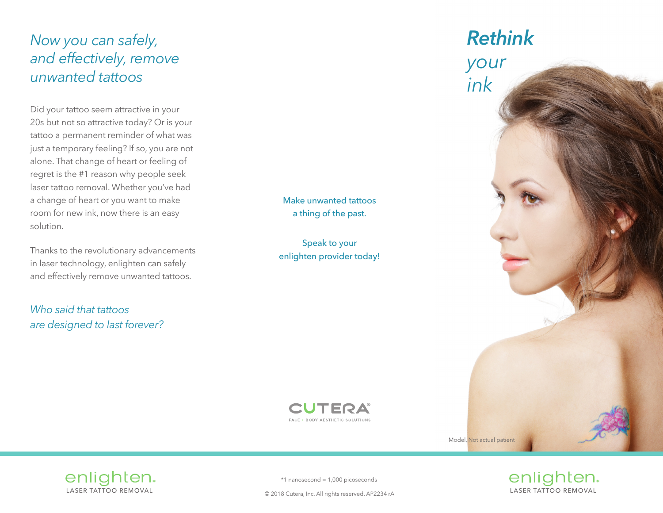# *Now you can safely, and effectively, remove unwanted tattoos*

Did your tattoo seem attractive in your 20s but not so attractive today? Or is your tattoo a permanent reminder of what was just a temporary feeling? If so, you are not alone. That change of heart or feeling of regret is the #1 reason why people seek laser tattoo removal. Whether you've had a change of heart or you want to make room for new ink, now there is an easy solution.

Thanks to the revolutionary advancements in laser technology, enlighten can safely and effectively remove unwanted tattoos.

*Who said that tattoos are designed to last forever?* Make unwanted tattoos a thing of the past.

Speak to your enlighten provider today!



Model, Not actual patient



\*1 nanosecond = 1,000 picoseconds

**CUTERA** FACE + BODY AESTHETIC SOLUTIONS

© 2018 Cutera, Inc. All rights reserved. AP2234 rA LASER TATTOO REMOVAL

enlighten.